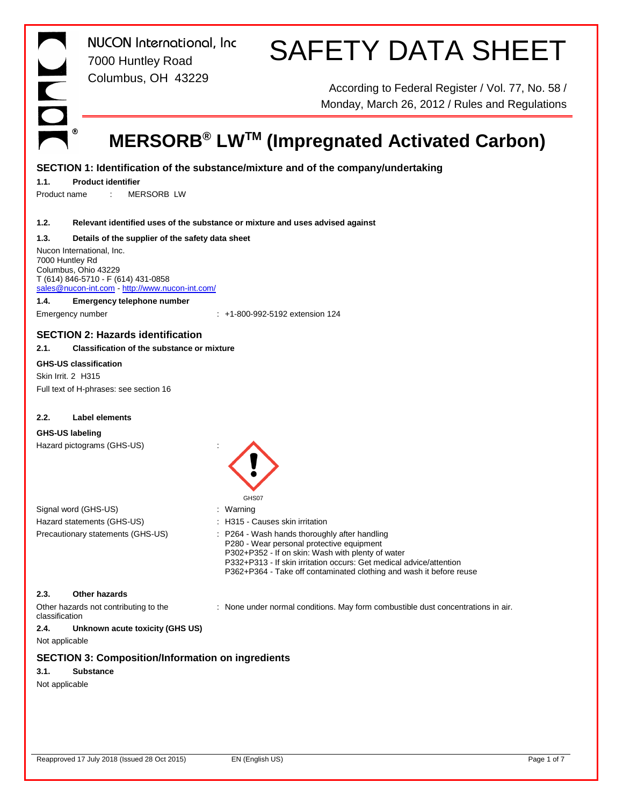*NUCON International, Inc* 7000 Huntley Road Columbus, OH 43229

# SAFETY DATA SHEET

According to Federal Register / Vol. 77, No. 58 / Monday, March 26, 2012 / Rules and Regulations

## **MERSORB® LWTM (Impregnated Activated Carbon)**

#### **SECTION 1: Identification of the substance/mixture and of the company/undertaking**

#### **1.1. Product identifier**

Product name : MERSORB LW

#### **1.2. Relevant identified uses of the substance or mixture and uses advised against**

#### **1.3. Details of the supplier of the safety data sheet**

Nucon International, Inc. 7000 Huntley Rd Columbus, Ohio 43229 T (614) 846-5710 - F (614) 431-0858 sales@nucon-int.com - http://www.nucon-int.com/

#### **1.4. Emergency telephone number**

Emergency number : +1-800-992-5192 extension 124

#### **SECTION 2: Hazards identification**

#### **2.1. Classification of the substance or mixture**

#### **GHS-US classification**

Skin Irrit. 2 H315 Full text of H-phrases: see section 16

#### **2.2. Label elements**

#### **GHS-US labeling**

Hazard pictograms (GHS-US) :



| Signal word (GHS-US)              | : Warning                                                                                  |
|-----------------------------------|--------------------------------------------------------------------------------------------|
| Hazard statements (GHS-US)        | : H315 - Causes skin irritation                                                            |
| Precautionary statements (GHS-US) | : P264 - Wash hands thoroughly after handling<br>P280 - Wear personal protective equipment |

P302+P352 - If on skin: Wash with plenty of water P332+P313 - If skin irritation occurs: Get medical advice/attention P362+P364 - Take off contaminated clothing and wash it before reuse

#### **2.3. Other hazards**

Other hazards not contributing to the classification

: None under normal conditions. May form combustible dust concentrations in air.

#### **2.4. Unknown acute toxicity (GHS US)**

Not applicable

#### **SECTION 3: Composition/Information on ingredients**

#### **3.1. Substance**

Not applicable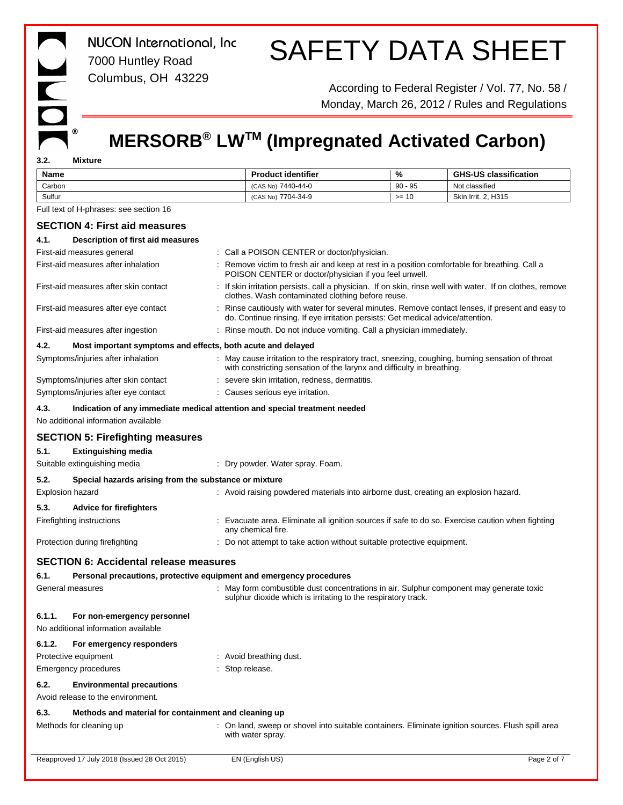# $^\circledR$

*NUCON International, Inc* 7000 Huntley Road Columbus, OH 43229

# SAFETY DATA SHEET

According to Federal Register / Vol. 77, No. 58 / Monday, March 26, 2012 / Rules and Regulations

### **MERSORB® LWTM (Impregnated Activated Carbon)**

**3.2. Mixture**

| Name                                                                | <b>Product identifier</b>                                                                                                                                                           | %         | <b>GHS-US classification</b> |
|---------------------------------------------------------------------|-------------------------------------------------------------------------------------------------------------------------------------------------------------------------------------|-----------|------------------------------|
| Carbon                                                              | (CAS No) 7440-44-0                                                                                                                                                                  | $90 - 95$ | Not classified               |
| Sulfur                                                              | (CAS No) 7704-34-9                                                                                                                                                                  | $>= 10$   | Skin Irrit. 2, H315          |
| Full text of H-phrases: see section 16                              |                                                                                                                                                                                     |           |                              |
| <b>SECTION 4: First aid measures</b>                                |                                                                                                                                                                                     |           |                              |
| 4.1.<br>Description of first aid measures                           |                                                                                                                                                                                     |           |                              |
| First-aid measures general                                          | : Call a POISON CENTER or doctor/physician.                                                                                                                                         |           |                              |
| First-aid measures after inhalation                                 | : Remove victim to fresh air and keep at rest in a position comfortable for breathing. Call a<br>POISON CENTER or doctor/physician if you feel unwell.                              |           |                              |
| First-aid measures after skin contact                               | : If skin irritation persists, call a physician. If on skin, rinse well with water. If on clothes, remove<br>clothes. Wash contaminated clothing before reuse.                      |           |                              |
| First-aid measures after eye contact                                | : Rinse cautiously with water for several minutes. Remove contact lenses, if present and easy to<br>do. Continue rinsing. If eye irritation persists: Get medical advice/attention. |           |                              |
| First-aid measures after ingestion                                  | : Rinse mouth. Do not induce vomiting. Call a physician immediately.                                                                                                                |           |                              |
| 4.2.<br>Most important symptoms and effects, both acute and delayed |                                                                                                                                                                                     |           |                              |
| Symptoms/injuries after inhalation                                  | : May cause irritation to the respiratory tract, sneezing, coughing, burning sensation of throat<br>with constricting sensation of the larynx and difficulty in breathing.          |           |                              |
| Symptoms/injuries after skin contact                                | : severe skin irritation, redness, dermatitis.                                                                                                                                      |           |                              |
| Symptoms/injuries after eye contact                                 | : Causes serious eye irritation.                                                                                                                                                    |           |                              |
| 4.3.<br>No additional information available                         | Indication of any immediate medical attention and special treatment needed                                                                                                          |           |                              |
| <b>SECTION 5: Firefighting measures</b>                             |                                                                                                                                                                                     |           |                              |
| 5.1.<br><b>Extinguishing media</b>                                  |                                                                                                                                                                                     |           |                              |
| Suitable extinguishing media                                        | : Dry powder. Water spray. Foam.                                                                                                                                                    |           |                              |
| 5.2.<br>Special hazards arising from the substance or mixture       |                                                                                                                                                                                     |           |                              |
| Explosion hazard                                                    | : Avoid raising powdered materials into airborne dust, creating an explosion hazard.                                                                                                |           |                              |
| 5.3.<br><b>Advice for firefighters</b>                              |                                                                                                                                                                                     |           |                              |
| Firefighting instructions                                           | : Evacuate area. Eliminate all ignition sources if safe to do so. Exercise caution when fighting<br>any chemical fire.                                                              |           |                              |
| Protection during firefighting                                      | : Do not attempt to take action without suitable protective equipment.                                                                                                              |           |                              |
| <b>SECTION 6: Accidental release measures</b>                       |                                                                                                                                                                                     |           |                              |
| 6.1.                                                                | Personal precautions, protective equipment and emergency procedures                                                                                                                 |           |                              |
| General measures                                                    | : May form combustible dust concentrations in air. Sulphur component may generate toxic<br>sulphur dioxide which is irritating to the respiratory track.                            |           |                              |
| 6.1.1.<br>For non-emergency personnel                               |                                                                                                                                                                                     |           |                              |
| No additional information available                                 |                                                                                                                                                                                     |           |                              |
| 6.1.2.<br>For emergency responders                                  |                                                                                                                                                                                     |           |                              |
| Protective equipment                                                | : Avoid breathing dust.                                                                                                                                                             |           |                              |
| Emergency procedures                                                | : Stop release.                                                                                                                                                                     |           |                              |
| 6.2.<br><b>Environmental precautions</b>                            |                                                                                                                                                                                     |           |                              |
| Avoid release to the environment.                                   |                                                                                                                                                                                     |           |                              |
| 6.3.<br>Methods and material for containment and cleaning up        |                                                                                                                                                                                     |           |                              |
| Methods for cleaning up                                             | : On land, sweep or shovel into suitable containers. Eliminate ignition sources. Flush spill area<br>with water spray.                                                              |           |                              |
|                                                                     |                                                                                                                                                                                     |           |                              |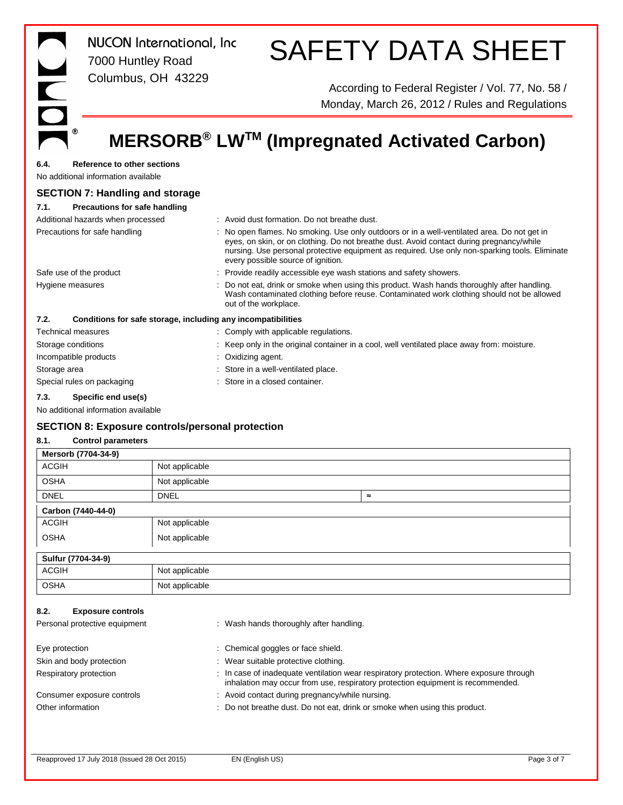| <b>NUCON</b> International, Inc<br>7000 Huntley Road                              | <b>SAFETY DATA SHEET</b>                                                                                                                                                                                                                                                                                                        |
|-----------------------------------------------------------------------------------|---------------------------------------------------------------------------------------------------------------------------------------------------------------------------------------------------------------------------------------------------------------------------------------------------------------------------------|
| E<br>Columbus, OH 43229                                                           | According to Federal Register / Vol. 77, No. 58 /<br>Monday, March 26, 2012 / Rules and Regulations                                                                                                                                                                                                                             |
| ◉                                                                                 | MERSORB <sup>®</sup> LW™ (Impregnated Activated Carbon)                                                                                                                                                                                                                                                                         |
| 6.4.<br><b>Reference to other sections</b><br>No additional information available |                                                                                                                                                                                                                                                                                                                                 |
| <b>SECTION 7: Handling and storage</b>                                            |                                                                                                                                                                                                                                                                                                                                 |
| 7.1.<br>Precautions for safe handling                                             |                                                                                                                                                                                                                                                                                                                                 |
| Additional hazards when processed                                                 | : Avoid dust formation. Do not breathe dust.                                                                                                                                                                                                                                                                                    |
| Precautions for safe handling                                                     | : No open flames. No smoking. Use only outdoors or in a well-ventilated area. Do not get in<br>eyes, on skin, or on clothing. Do not breathe dust. Avoid contact during pregnancy/while<br>nursing. Use personal protective equipment as required. Use only non-sparking tools. Eliminate<br>every possible source of ignition. |
| Safe use of the product                                                           | Provide readily accessible eye wash stations and safety showers.                                                                                                                                                                                                                                                                |
| Hygiene measures                                                                  | Do not eat, drink or smoke when using this product. Wash hands thoroughly after handling.<br>Wash contaminated clothing before reuse. Contaminated work clothing should not be allowed<br>out of the workplace.                                                                                                                 |
| 7.2.<br>Conditions for safe storage, including any incompatibilities              |                                                                                                                                                                                                                                                                                                                                 |
| <b>Technical measures</b>                                                         | : Comply with applicable regulations.                                                                                                                                                                                                                                                                                           |
| Storage conditions                                                                | Keep only in the original container in a cool, well ventilated place away from: moisture.                                                                                                                                                                                                                                       |
| Incompatible products                                                             | Oxidizing agent.                                                                                                                                                                                                                                                                                                                |
| Storage area                                                                      | Store in a well-ventilated place.                                                                                                                                                                                                                                                                                               |
| Special rules on packaging                                                        | Store in a closed container.                                                                                                                                                                                                                                                                                                    |
| 7.3.<br>Specific end use(s)<br>No additional information available                |                                                                                                                                                                                                                                                                                                                                 |

#### **SECTION 8: Exposure controls/personal protection**

#### **8.1. Control parameters**

| Mersorb (7704-34-9)                                               |                |                                         |                                                                                                                                                                          |
|-------------------------------------------------------------------|----------------|-----------------------------------------|--------------------------------------------------------------------------------------------------------------------------------------------------------------------------|
| <b>ACGIH</b>                                                      | Not applicable |                                         |                                                                                                                                                                          |
| <b>OSHA</b>                                                       | Not applicable |                                         |                                                                                                                                                                          |
| <b>DNEL</b>                                                       | <b>DNEL</b>    | $\approx$                               |                                                                                                                                                                          |
| Carbon (7440-44-0)                                                |                |                                         |                                                                                                                                                                          |
| <b>ACGIH</b>                                                      | Not applicable |                                         |                                                                                                                                                                          |
| <b>OSHA</b>                                                       | Not applicable |                                         |                                                                                                                                                                          |
| Sulfur (7704-34-9)                                                |                |                                         |                                                                                                                                                                          |
| <b>ACGIH</b>                                                      | Not applicable |                                         |                                                                                                                                                                          |
| <b>OSHA</b>                                                       | Not applicable |                                         |                                                                                                                                                                          |
| 8.2.<br><b>Exposure controls</b><br>Personal protective equipment |                | : Wash hands thoroughly after handling. |                                                                                                                                                                          |
| Eye protection                                                    |                | : Chemical goggles or face shield.      |                                                                                                                                                                          |
| Skin and body protection                                          |                | : Wear suitable protective clothing.    |                                                                                                                                                                          |
| Respiratory protection                                            |                | ÷                                       | In case of inadequate ventilation wear respiratory protection. Where exposure through<br>inhalation may occur from use, respiratory protection equipment is recommended. |

Consumer exposure controls : Avoid contact during pregnancy/while nursing.

Other information **interpretation** : Do not breathe dust. Do not eat, drink or smoke when using this product.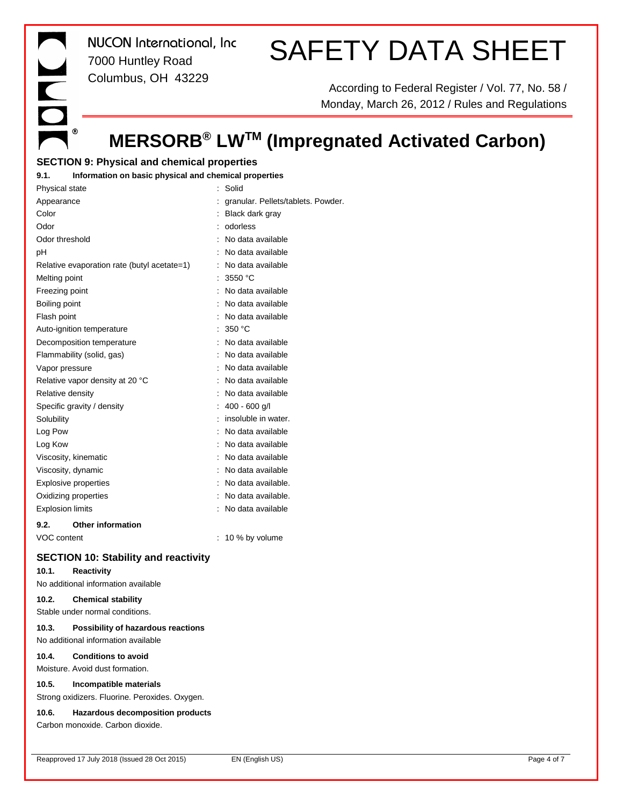E<br>O  $^{\circ}$ 

*NUCON International, Inc* 7000 Huntley Road Columbus, OH 43229

# SAFETY DATA SHEET

According to Federal Register / Vol. 77, No. 58 / Monday, March 26, 2012 / Rules and Regulations

## **MERSORB® LWTM (Impregnated Activated Carbon)**

#### **SECTION 9: Physical and chemical properties**

#### **9.1. Information on basic physical and chemical properties**

| Physical state                              | Solid                              |
|---------------------------------------------|------------------------------------|
| Appearance                                  | granular. Pellets/tablets. Powder. |
| Color                                       | Black dark gray                    |
| Odor                                        | odorless                           |
| Odor threshold                              | No data available                  |
| рH                                          | No data available                  |
| Relative evaporation rate (butyl acetate=1) | No data available                  |
| Melting point                               | 3550 °C                            |
| Freezing point                              | No data available                  |
| Boiling point                               | No data available                  |
| Flash point                                 | No data available                  |
| Auto-ignition temperature                   | 350 °C                             |
| Decomposition temperature                   | No data available                  |
| Flammability (solid, gas)                   | No data available                  |
| Vapor pressure                              | No data available                  |
| Relative vapor density at 20 °C             | No data available                  |
| Relative density                            | No data available                  |
| Specific gravity / density                  | $400 - 600$ g/l                    |
| Solubility                                  | insoluble in water.                |
| Log Pow                                     | No data available                  |
| Log Kow                                     | No data available                  |
| Viscosity, kinematic                        | No data available                  |
| Viscosity, dynamic                          | No data available                  |
| Explosive properties                        | No data available.                 |
| Oxidizing properties                        | No data available.                 |
| <b>Explosion limits</b>                     | No data available                  |
|                                             |                                    |

#### **9.2. Other information**

VOC content : 10 % by volume

#### **SECTION 10: Stability and reactivity**

#### **10.1. Reactivity**

No additional information available

#### **10.2. Chemical stability**

Stable under normal conditions.

#### **10.3. Possibility of hazardous reactions**

No additional information available

#### **10.4. Conditions to avoid**

Moisture. Avoid dust formation.

#### **10.5. Incompatible materials**

Strong oxidizers. Fluorine. Peroxides. Oxygen.

#### **10.6. Hazardous decomposition products**

Carbon monoxide. Carbon dioxide.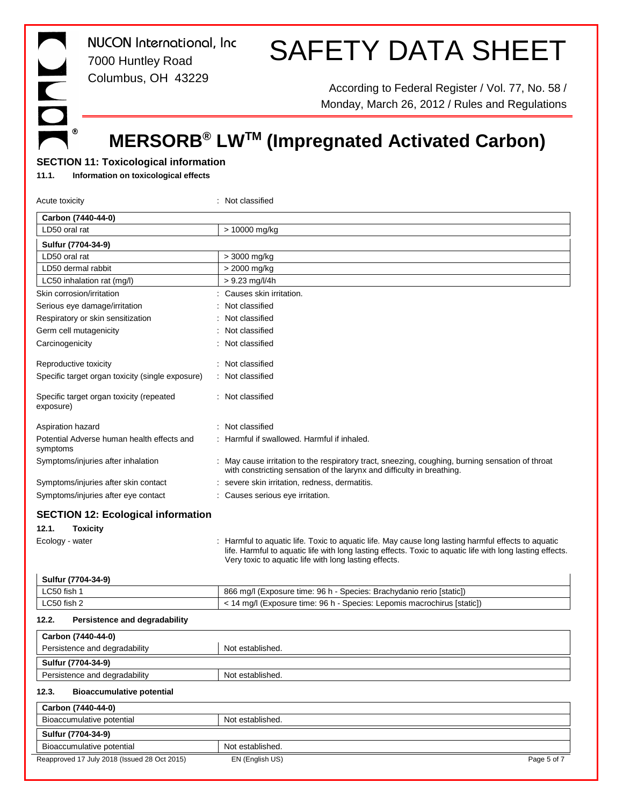*NUCON International, Inc* 7000 Huntley Road Columbus, OH 43229

# SAFETY DATA SHEET

According to Federal Register / Vol. 77, No. 58 / Monday, March 26, 2012 / Rules and Regulations

## **MERSORB® LWTM (Impregnated Activated Carbon)**

#### **SECTION 11: Toxicological information**

**11.1. Information on toxicological effects**

Ē

 $^\circledR$ 

| Acute toxicity                                         | Not classified                                                                                                                                                                                                                                                          |
|--------------------------------------------------------|-------------------------------------------------------------------------------------------------------------------------------------------------------------------------------------------------------------------------------------------------------------------------|
| Carbon (7440-44-0)                                     |                                                                                                                                                                                                                                                                         |
| LD50 oral rat                                          | > 10000 mg/kg                                                                                                                                                                                                                                                           |
| Sulfur (7704-34-9)                                     |                                                                                                                                                                                                                                                                         |
| LD50 oral rat                                          | > 3000 mg/kg                                                                                                                                                                                                                                                            |
| LD50 dermal rabbit                                     | > 2000 mg/kg                                                                                                                                                                                                                                                            |
| LC50 inhalation rat (mg/l)                             | $> 9.23$ mg/l/4h                                                                                                                                                                                                                                                        |
| Skin corrosion/irritation                              | Causes skin irritation.                                                                                                                                                                                                                                                 |
| Serious eye damage/irritation                          | Not classified                                                                                                                                                                                                                                                          |
| Respiratory or skin sensitization                      | Not classified                                                                                                                                                                                                                                                          |
| Germ cell mutagenicity                                 | Not classified                                                                                                                                                                                                                                                          |
| Carcinogenicity                                        | Not classified                                                                                                                                                                                                                                                          |
| Reproductive toxicity                                  | Not classified                                                                                                                                                                                                                                                          |
| Specific target organ toxicity (single exposure)       | Not classified                                                                                                                                                                                                                                                          |
| Specific target organ toxicity (repeated<br>exposure)  | Not classified                                                                                                                                                                                                                                                          |
| Aspiration hazard                                      | Not classified                                                                                                                                                                                                                                                          |
| Potential Adverse human health effects and<br>symptoms | Harmful if swallowed. Harmful if inhaled.                                                                                                                                                                                                                               |
| Symptoms/injuries after inhalation                     | May cause irritation to the respiratory tract, sneezing, coughing, burning sensation of throat<br>with constricting sensation of the larynx and difficulty in breathing.                                                                                                |
| Symptoms/injuries after skin contact                   | severe skin irritation, redness, dermatitis.                                                                                                                                                                                                                            |
| Symptoms/injuries after eye contact                    | : Causes serious eye irritation.                                                                                                                                                                                                                                        |
| <b>SECTION 12: Ecological information</b>              |                                                                                                                                                                                                                                                                         |
| 12.1.<br><b>Toxicity</b>                               |                                                                                                                                                                                                                                                                         |
| Ecology - water                                        | Harmful to aquatic life. Toxic to aquatic life. May cause long lasting harmful effects to aquatic<br>life. Harmful to aquatic life with long lasting effects. Toxic to aquatic life with long lasting effects.<br>Very toxic to aquatic life with long lasting effects. |
| Sulfur (7704-34-9)                                     |                                                                                                                                                                                                                                                                         |
| LC50 fish 1                                            | 866 mg/l (Exposure time: 96 h - Species: Brachydanio rerio [static])                                                                                                                                                                                                    |
| LC50 fish 2                                            | < 14 mg/l (Exposure time: 96 h - Species: Lepomis macrochirus [static])                                                                                                                                                                                                 |
| Persistence and degradability<br>12.2.                 |                                                                                                                                                                                                                                                                         |
| Carbon (7440-44-0)                                     |                                                                                                                                                                                                                                                                         |
| Persistence and degradability                          | Not established.                                                                                                                                                                                                                                                        |
| Sulfur (7704-34-9)                                     |                                                                                                                                                                                                                                                                         |
| Persistence and degradability                          | Not established.                                                                                                                                                                                                                                                        |
| <b>Bioaccumulative potential</b><br>12.3.              |                                                                                                                                                                                                                                                                         |
| Carbon (7440-44-0)                                     |                                                                                                                                                                                                                                                                         |
| Bioaccumulative potential                              | Not established.                                                                                                                                                                                                                                                        |
| Sulfur (7704-34-9)                                     |                                                                                                                                                                                                                                                                         |
| Bioaccumulative potential                              | Not established.                                                                                                                                                                                                                                                        |
| Reapproved 17 July 2018 (Issued 28 Oct 2015)           | EN (English US)<br>Page 5 of 7                                                                                                                                                                                                                                          |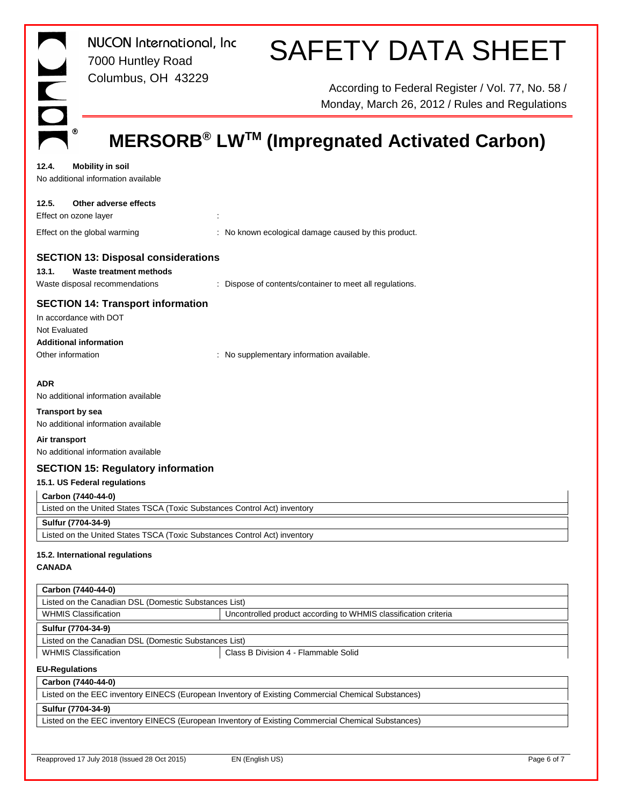|                                                                                               | <b>NUCON</b> International, Inc                                           | <b>SAFETY DATA SHEET</b>                                                                            |             |
|-----------------------------------------------------------------------------------------------|---------------------------------------------------------------------------|-----------------------------------------------------------------------------------------------------|-------------|
|                                                                                               | 7000 Huntley Road                                                         |                                                                                                     |             |
| $\overline{\mathsf{C}}$                                                                       | Columbus, OH 43229                                                        | According to Federal Register / Vol. 77, No. 58 /<br>Monday, March 26, 2012 / Rules and Regulations |             |
| ◉                                                                                             |                                                                           | MERSORB <sup>®</sup> LW™ (Impregnated Activated Carbon)                                             |             |
|                                                                                               |                                                                           |                                                                                                     |             |
| 12.4.                                                                                         | <b>Mobility in soil</b><br>No additional information available            |                                                                                                     |             |
| 12.5.<br>Effect on ozone layer                                                                | Other adverse effects                                                     | ÷                                                                                                   |             |
|                                                                                               | Effect on the global warming                                              | : No known ecological damage caused by this product.                                                |             |
|                                                                                               | <b>SECTION 13: Disposal considerations</b>                                |                                                                                                     |             |
| 13.1.                                                                                         | Waste treatment methods                                                   |                                                                                                     |             |
|                                                                                               | Waste disposal recommendations                                            | : Dispose of contents/container to meet all regulations.                                            |             |
| In accordance with DOT<br>Not Evaluated<br><b>Additional information</b><br>Other information | <b>SECTION 14: Transport information</b>                                  | : No supplementary information available.                                                           |             |
|                                                                                               |                                                                           |                                                                                                     |             |
| <b>ADR</b>                                                                                    |                                                                           |                                                                                                     |             |
|                                                                                               | No additional information available                                       |                                                                                                     |             |
| <b>Transport by sea</b>                                                                       | No additional information available                                       |                                                                                                     |             |
| Air transport                                                                                 |                                                                           |                                                                                                     |             |
|                                                                                               | No additional information available                                       |                                                                                                     |             |
|                                                                                               | <b>SECTION 15: Regulatory information</b>                                 |                                                                                                     |             |
|                                                                                               | 15.1. US Federal regulations                                              |                                                                                                     |             |
| Carbon (7440-44-0)                                                                            |                                                                           |                                                                                                     |             |
|                                                                                               | Listed on the United States TSCA (Toxic Substances Control Act) inventory |                                                                                                     |             |
| Sulfur (7704-34-9)                                                                            |                                                                           |                                                                                                     |             |
|                                                                                               | Listed on the United States TSCA (Toxic Substances Control Act) inventory |                                                                                                     |             |
| <b>CANADA</b>                                                                                 | 15.2. International regulations                                           |                                                                                                     |             |
| Carbon (7440-44-0)                                                                            |                                                                           |                                                                                                     |             |
|                                                                                               | Listed on the Canadian DSL (Domestic Substances List)                     |                                                                                                     |             |
|                                                                                               | <b>WHMIS Classification</b>                                               | Uncontrolled product according to WHMIS classification criteria                                     |             |
| Sulfur (7704-34-9)                                                                            | Listed on the Canadian DSL (Domestic Substances List)                     |                                                                                                     |             |
| <b>WHMIS Classification</b>                                                                   |                                                                           | Class B Division 4 - Flammable Solid                                                                |             |
| <b>EU-Regulations</b>                                                                         |                                                                           |                                                                                                     |             |
| Carbon (7440-44-0)                                                                            |                                                                           |                                                                                                     |             |
|                                                                                               |                                                                           | Listed on the EEC inventory EINECS (European Inventory of Existing Commercial Chemical Substances)  |             |
| Sulfur (7704-34-9)                                                                            |                                                                           |                                                                                                     |             |
|                                                                                               |                                                                           | Listed on the EEC inventory EINECS (European Inventory of Existing Commercial Chemical Substances)  |             |
|                                                                                               |                                                                           |                                                                                                     |             |
|                                                                                               | Reapproved 17 July 2018 (Issued 28 Oct 2015)                              | EN (English US)                                                                                     | Page 6 of 7 |
|                                                                                               |                                                                           |                                                                                                     |             |